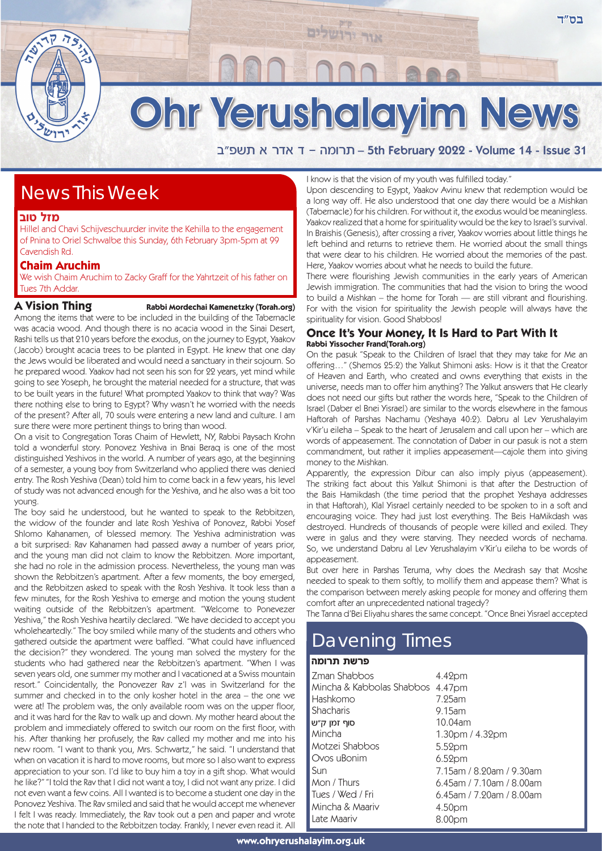# Ohr Yerushalayim News

אור ירו

a"tyz ` xc` c - dnexz – 5th February 2022 - Volume 14 - Issue 31

# News This Week

#### **מזל טוב**

Hillel and Chavi Schijveschuurder invite the Kehilla to the engagement of Pnina to Oriel Schwalbe this Sunday, 6th February 3pm-5pm at 99 Cavendish Rd.

### **Chaim Aruchim**

We wish Chaim Aruchim to Zacky Graff for the Yahrtzeit of his father on Tues 7th Addar.

### **A Vision Thing Rabbi Mordechai Kamenetzky (Torah.org)**

Among the items that were to be included in the building of the Tabernacle was acacia wood. And though there is no acacia wood in the Sinai Desert, Rashi tells us that 210 years before the exodus, on the journey to Egypt, Yaakov (Jacob) brought acacia trees to be planted in Egypt. He knew that one day the Jews would be liberated and would need a sanctuary in their sojourn. So he prepared wood. Yaakov had not seen his son for 22 years, yet mind while going to see Yoseph, he brought the material needed for a structure, that was to be built years in the future! What prompted Yaakov to think that way? Was there nothing else to bring to Egypt? Why wasn't he worried with the needs of the present? After all, 70 souls were entering a new land and culture. I am sure there were more pertinent things to bring than wood.

On a visit to Congregation Toras Chaim of Hewlett, NY, Rabbi Paysach Krohn told a wonderful story. Ponovez Yeshiva in Bnai Beraq is one of the most distinguished Yeshivos in the world. A number of years ago, at the beginning of a semester, a young boy from Switzerland who applied there was denied entry. The Rosh Yeshiva (Dean) told him to come back in a few years, his level of study was not advanced enough for the Yeshiva, and he also was a bit too young.

The boy said he understood, but he wanted to speak to the Rebbitzen, the widow of the founder and late Rosh Yeshiva of Ponovez, Rabbi Yosef Shlomo Kahanamen, of blessed memory. The Yeshiva administration was a bit surprised: Rav Kahanamen had passed away a number of years prior, and the young man did not claim to know the Rebbitzen. More important, she had no role in the admission process. Nevertheless, the young man was shown the Rebbitzen's apartment. After a few moments, the boy emerged, and the Rebbitzen asked to speak with the Rosh Yeshiva. It took less than a few minutes, for the Rosh Yeshiva to emerge and motion the young student waiting outside of the Rebbitzen's apartment. "Welcome to Ponevezer Yeshiva," the Rosh Yeshiva heartily declared. "We have decided to accept you wholeheartedly." The boy smiled while many of the students and others who gathered outside the apartment were baffled. "What could have influenced the decision?" they wondered. The young man solved the mystery for the students who had gathered near the Rebbitzen's apartment. "When I was seven years old, one summer my mother and I vacationed at a Swiss mountain resort." Coincidentally, the Ponovezer Rav z'l was in Switzerland for the summer and checked in to the only kosher hotel in the area – the one we were at! The problem was, the only available room was on the upper floor, and it was hard for the Rav to walk up and down. My mother heard about the problem and immediately offered to switch our room on the first floor, with his. After thanking her profusely, the Rav called my mother and me into his new room. "I want to thank you, Mrs. Schwartz," he said. "I understand that when on vacation it is hard to move rooms, but more so I also want to express appreciation to your son. I'd like to buy him a toy in a gift shop. What would he like?" "I told the Rav that I did not want a toy, I did not want any prize. I did not even want a few coins. All I wanted is to become a student one day in the Ponovez Yeshiva. The Rav smiled and said that he would accept me whenever I felt I was ready. Immediately, the Rav took out a pen and paper and wrote the note that I handed to the Rebbitzen today. Frankly, I never even read it. All

I know is that the vision of my youth was fulfilled today."

Upon descending to Egypt, Yaakov Avinu knew that redemption would be a long way off. He also understood that one day there would be a Mishkan (Tabernacle) for his children. For without it, the exodus would be meaningless. Yaakov realized that a home for spirituality would be the key to Israel's survival. In Braishis (Genesis), after crossing a river, Yaakov worries about little things he left behind and returns to retrieve them. He worried about the small things that were dear to his children. He worried about the memories of the past. Here, Yaakov worries about what he needs to build the future.

There were flourishing Jewish communities in the early years of American Jewish immigration. The communities that had the vision to bring the wood to build a Mishkan – the home for Torah — are still vibrant and flourishing. For with the vision for spirituality the Jewish people will always have the spirituality for vision. Good Shabbos!

#### **Once It's Your Money, It Is Hard to Part With It Rabbi Yissocher Frand(Torah.org)**

On the pasuk "Speak to the Children of Israel that they may take for Me an offering…" (Shemos 25:2) the Yalkut Shimoni asks: How is it that the Creator of Heaven and Earth, who created and owns everything that exists in the universe, needs man to offer him anything? The Yalkut answers that He clearly does not need our gifts but rather the words here, "Speak to the Children of Israel (Daber el Bnei Yisrael) are similar to the words elsewhere in the famous Haftorah of Parshas Nachamu (Yeshaya 40:2). Dabru al Lev Yerushalayim v'Kir'u eileha – Speak to the heart of Jerusalem and call upon her – which are words of appeasement. The connotation of Daber in our pasuk is not a stern commandment, but rather it implies appeasement—cajole them into giving money to the Mishkan.

Apparently, the expression Dibur can also imply piyus (appeasement). The striking fact about this Yalkut Shimoni is that after the Destruction of the Bais Hamikdash (the time period that the prophet Yeshaya addresses in that Haftorah), Klal Yisrael certainly needed to be spoken to in a soft and encouraging voice. They had just lost everything. The Beis HaMikdash was destroyed. Hundreds of thousands of people were killed and exiled. They were in galus and they were starving. They needed words of nechama. So, we understand Dabru al Lev Yerushalayim v'Kir'u eileha to be words of appeasement.

But over here in Parshas Teruma, why does the Medrash say that Moshe needed to speak to them softly, to mollify them and appease them? What is the comparison between merely asking people for money and offering them comfort after an unprecedented national tragedy?

The Tanna d'Bei Eliyahu shares the same concept. "Once Bnei Yisrael accepted

# Davening Times

#### פרשת תרומה

| Zman Shabbos<br>Mincha & Kabbolas Shabbos 4.47pm | 4.42pm                      |
|--------------------------------------------------|-----------------------------|
| Hashkomo                                         | 7.25am                      |
| Shacharis                                        | $9.15$ am                   |
| סוף זמן ק״ש                                      | 10.04am                     |
| Mincha                                           | 1.30pm / 4.32pm             |
| Motzei Shabbos                                   | 5.52pm                      |
| Ovos uBonim                                      | 6.52 <sub>pm</sub>          |
| Sun                                              | 7.15am / 8.20am / 9.30am    |
| Mon / Thurs                                      | $6.45$ am / 7.10am / 8.00am |
| Tues / Wed / Fri                                 | $6.45$ am / 7.20am / 8.00am |
| Mincha & Maariv                                  | 4.50pm                      |
| Late Maariv                                      | 8.00pm                      |